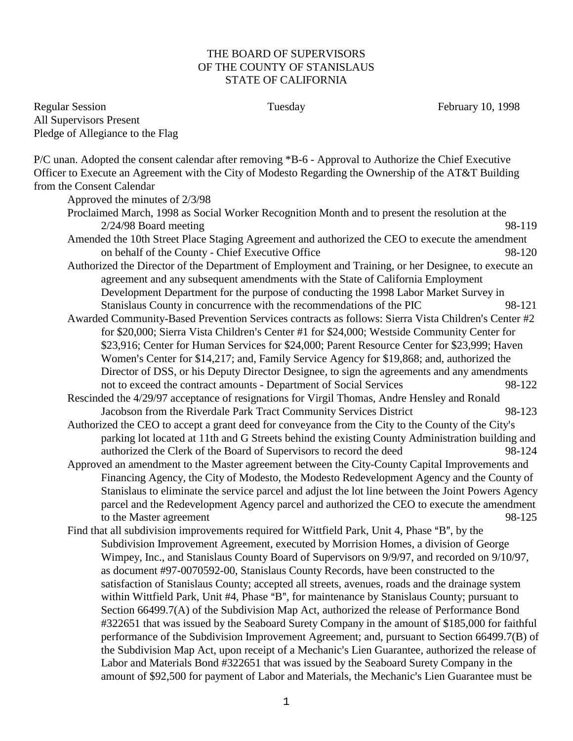## THE BOARD OF SUPERVISORS OF THE COUNTY OF STANISLAUS STATE OF CALIFORNIA

Regular Session Tuesday February 10, 1998 All Supervisors Present Pledge of Allegiance to the Flag

| P/C unan. Adopted the consent calendar after removing *B-6 - Approval to Authorize the Chief Executive |        |
|--------------------------------------------------------------------------------------------------------|--------|
| Officer to Execute an Agreement with the City of Modesto Regarding the Ownership of the AT&T Building  |        |
| from the Consent Calendar                                                                              |        |
| Approved the minutes of 2/3/98                                                                         |        |
| Proclaimed March, 1998 as Social Worker Recognition Month and to present the resolution at the         |        |
| $2/24/98$ Board meeting                                                                                | 98-119 |
| Amended the 10th Street Place Staging Agreement and authorized the CEO to execute the amendment        |        |
| on behalf of the County - Chief Executive Office                                                       | 98-120 |
| Authorized the Director of the Department of Employment and Training, or her Designee, to execute an   |        |
| agreement and any subsequent amendments with the State of California Employment                        |        |
| Development Department for the purpose of conducting the 1998 Labor Market Survey in                   |        |
| Stanislaus County in concurrence with the recommendations of the PIC                                   | 98-121 |
| Awarded Community-Based Prevention Services contracts as follows: Sierra Vista Children's Center #2    |        |
| for \$20,000; Sierra Vista Children's Center #1 for \$24,000; Westside Community Center for            |        |
| \$23,916; Center for Human Services for \$24,000; Parent Resource Center for \$23,999; Haven           |        |
| Women's Center for \$14,217; and, Family Service Agency for \$19,868; and, authorized the              |        |
| Director of DSS, or his Deputy Director Designee, to sign the agreements and any amendments            |        |
| not to exceed the contract amounts - Department of Social Services                                     | 98-122 |
| Rescinded the 4/29/97 acceptance of resignations for Virgil Thomas, Andre Hensley and Ronald           |        |
| Jacobson from the Riverdale Park Tract Community Services District                                     | 98-123 |
| Authorized the CEO to accept a grant deed for conveyance from the City to the County of the City's     |        |
| parking lot located at 11th and G Streets behind the existing County Administration building and       |        |
| authorized the Clerk of the Board of Supervisors to record the deed                                    | 98-124 |
| Approved an amendment to the Master agreement between the City-County Capital Improvements and         |        |
| Financing Agency, the City of Modesto, the Modesto Redevelopment Agency and the County of              |        |
| Stanislaus to eliminate the service parcel and adjust the lot line between the Joint Powers Agency     |        |
| parcel and the Redevelopment Agency parcel and authorized the CEO to execute the amendment             |        |
| to the Master agreement                                                                                | 98-125 |
| Find that all subdivision improvements required for Wittfield Park, Unit 4, Phase "B", by the          |        |
| Subdivision Improvement Agreement, executed by Morrision Homes, a division of George                   |        |
| Wimpey, Inc., and Stanislaus County Board of Supervisors on 9/9/97, and recorded on 9/10/97,           |        |
| as document #97-0070592-00, Stanislaus County Records, have been constructed to the                    |        |
| satisfaction of Stanislaus County; accepted all streets, avenues, roads and the drainage system        |        |
| within Wittfield Park, Unit #4, Phase "B", for maintenance by Stanislaus County; pursuant to           |        |
| Section 66499.7(A) of the Subdivision Map Act, authorized the release of Performance Bond              |        |
| #322651 that was issued by the Seaboard Surety Company in the amount of \$185,000 for faithful         |        |
| performance of the Subdivision Improvement Agreement; and, pursuant to Section 66499.7(B) of           |        |
| the Subdivision Map Act, upon receipt of a Mechanic's Lien Guarantee, authorized the release of        |        |
| Labor and Materials Bond #322651 that was issued by the Seaboard Surety Company in the                 |        |
| amount of \$92,500 for payment of Labor and Materials, the Mechanic's Lien Guarantee must be           |        |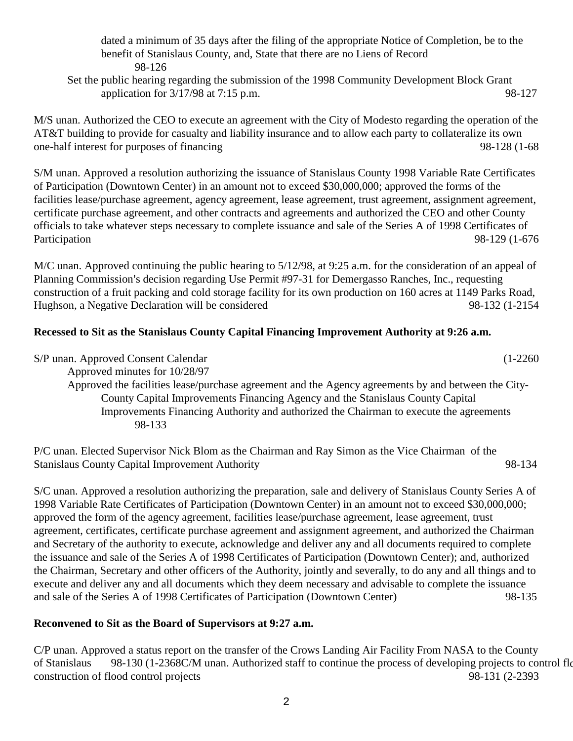dated a minimum of 35 days after the filing of the appropriate Notice of Completion, be to the benefit of Stanislaus County, and, State that there are no Liens of Record 98-126

Set the public hearing regarding the submission of the 1998 Community Development Block Grant application for 3/17/98 at 7:15 p.m. 98-127

M/S unan. Authorized the CEO to execute an agreement with the City of Modesto regarding the operation of the AT&T building to provide for casualty and liability insurance and to allow each party to collateralize its own one-half interest for purposes of financing 98-128 (1-68

S/M unan. Approved a resolution authorizing the issuance of Stanislaus County 1998 Variable Rate Certificates of Participation (Downtown Center) in an amount not to exceed \$30,000,000; approved the forms of the facilities lease/purchase agreement, agency agreement, lease agreement, trust agreement, assignment agreement, certificate purchase agreement, and other contracts and agreements and authorized the CEO and other County officials to take whatever steps necessary to complete issuance and sale of the Series A of 1998 Certificates of Participation 98-129 (1-676

M/C unan. Approved continuing the public hearing to 5/12/98, at 9:25 a.m. for the consideration of an appeal of Planning Commission's decision regarding Use Permit #97-31 for Demergasso Ranches, Inc., requesting construction of a fruit packing and cold storage facility for its own production on 160 acres at 1149 Parks Road, Hughson, a Negative Declaration will be considered 98-132 (1-2154

## **Recessed to Sit as the Stanislaus County Capital Financing Improvement Authority at 9:26 a.m.**

S/P unan. Approved Consent Calendar (1-2260) Approved minutes for 10/28/97 Approved the facilities lease/purchase agreement and the Agency agreements by and between the City-County Capital Improvements Financing Agency and the Stanislaus County Capital Improvements Financing Authority and authorized the Chairman to execute the agreements 98-133

P/C unan. Elected Supervisor Nick Blom as the Chairman and Ray Simon as the Vice Chairman of the Stanislaus County Capital Improvement Authority 98-134

S/C unan. Approved a resolution authorizing the preparation, sale and delivery of Stanislaus County Series A of 1998 Variable Rate Certificates of Participation (Downtown Center) in an amount not to exceed \$30,000,000; approved the form of the agency agreement, facilities lease/purchase agreement, lease agreement, trust agreement, certificates, certificate purchase agreement and assignment agreement, and authorized the Chairman and Secretary of the authority to execute, acknowledge and deliver any and all documents required to complete the issuance and sale of the Series A of 1998 Certificates of Participation (Downtown Center); and, authorized the Chairman, Secretary and other officers of the Authority, jointly and severally, to do any and all things and to execute and deliver any and all documents which they deem necessary and advisable to complete the issuance and sale of the Series A of 1998 Certificates of Participation (Downtown Center) 98-135

## **Reconvened to Sit as the Board of Supervisors at 9:27 a.m.**

C/P unan. Approved a status report on the transfer of the Crows Landing Air Facility From NASA to the County of Stanislaus 98-130 (1-2368C/M unan. Authorized staff to continue the process of developing projects to control flo construction of flood control projects 98-131 (2-2393